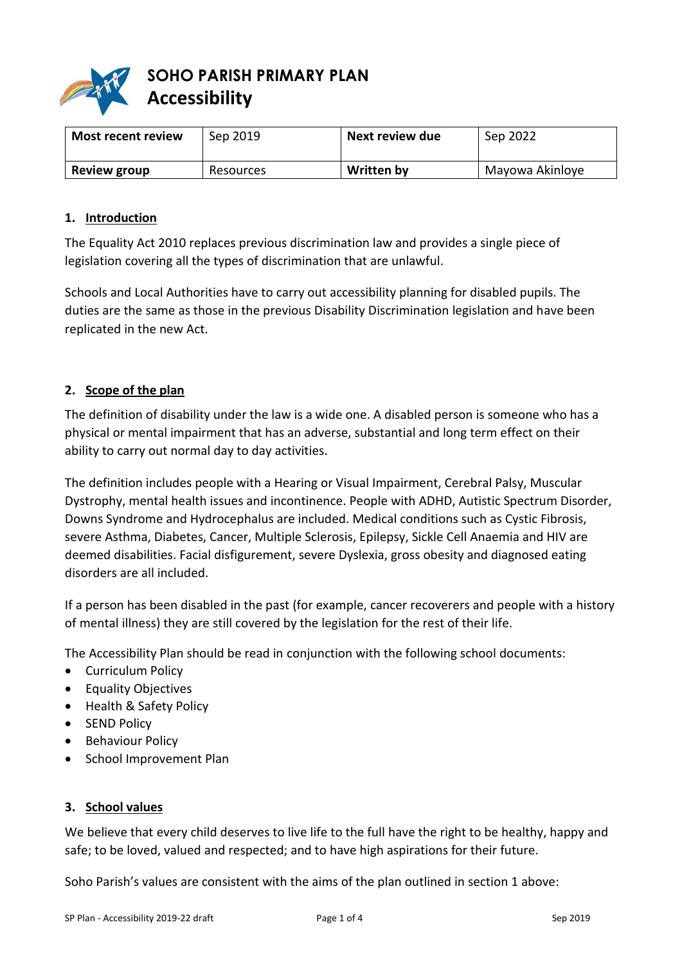

# **SOHO PARISH PRIMARY PLAN Accessibility**

| <b>Most recent review</b> | Sep 2019  | Next review due   | Sep 2022        |
|---------------------------|-----------|-------------------|-----------------|
| <b>Review group</b>       | Resources | <b>Written by</b> | Mayowa Akinloye |

#### **1. Introduction**

The Equality Act 2010 replaces previous discrimination law and provides a single piece of legislation covering all the types of discrimination that are unlawful.

Schools and Local Authorities have to carry out accessibility planning for disabled pupils. The duties are the same as those in the previous Disability Discrimination legislation and have been replicated in the new Act.

#### **2. Scope of the plan**

The definition of disability under the law is a wide one. A disabled person is someone who has a physical or mental impairment that has an adverse, substantial and long term effect on their ability to carry out normal day to day activities.

The definition includes people with a Hearing or Visual Impairment, Cerebral Palsy, Muscular Dystrophy, mental health issues and incontinence. People with ADHD, Autistic Spectrum Disorder, Downs Syndrome and Hydrocephalus are included. Medical conditions such as Cystic Fibrosis, severe Asthma, Diabetes, Cancer, Multiple Sclerosis, Epilepsy, Sickle Cell Anaemia and HIV are deemed disabilities. Facial disfigurement, severe Dyslexia, gross obesity and diagnosed eating disorders are all included.

If a person has been disabled in the past (for example, cancer recoverers and people with a history of mental illness) they are still covered by the legislation for the rest of their life.

The Accessibility Plan should be read in conjunction with the following school documents:

- Curriculum Policy
- **•** Equality Objectives
- Health & Safety Policy
- SEND Policy
- Behaviour Policy
- School Improvement Plan

#### **3. School values**

We believe that every child deserves to live life to the full have the right to be healthy, happy and safe; to be loved, valued and respected; and to have high aspirations for their future.

Soho Parish's values are consistent with the aims of the plan outlined in section 1 above: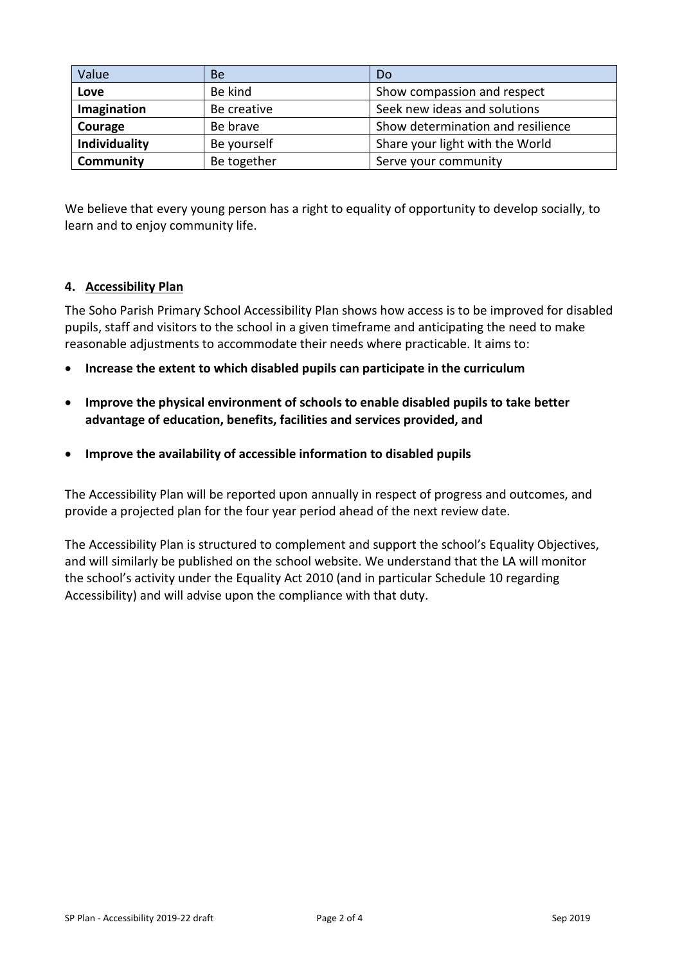| Value         | Be          | Do                                |  |
|---------------|-------------|-----------------------------------|--|
| Love          | Be kind     | Show compassion and respect       |  |
| Imagination   | Be creative | Seek new ideas and solutions      |  |
| Courage       | Be brave    | Show determination and resilience |  |
| Individuality | Be yourself | Share your light with the World   |  |
| Community     | Be together | Serve your community              |  |

We believe that every young person has a right to equality of opportunity to develop socially, to learn and to enjoy community life.

#### **4. Accessibility Plan**

The Soho Parish Primary School Accessibility Plan shows how access is to be improved for disabled pupils, staff and visitors to the school in a given timeframe and anticipating the need to make reasonable adjustments to accommodate their needs where practicable. It aims to:

- **Increase the extent to which disabled pupils can participate in the curriculum**
- **Improve the physical environment of schools to enable disabled pupils to take better advantage of education, benefits, facilities and services provided, and**
- **Improve the availability of accessible information to disabled pupils**

The Accessibility Plan will be reported upon annually in respect of progress and outcomes, and provide a projected plan for the four year period ahead of the next review date.

The Accessibility Plan is structured to complement and support the school's Equality Objectives, and will similarly be published on the school website. We understand that the LA will monitor the school's activity under the Equality Act 2010 (and in particular Schedule 10 regarding Accessibility) and will advise upon the compliance with that duty.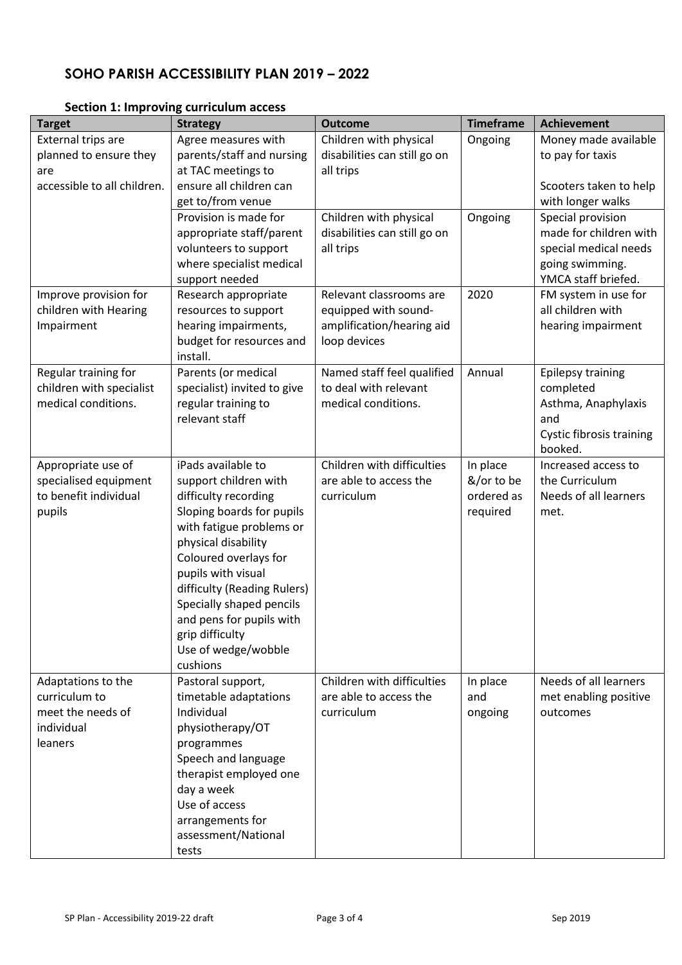# **SOHO PARISH ACCESSIBILITY PLAN 2019 – 2022**

| <b>Target</b>               | <b>Strategy</b>                                 | <b>Outcome</b>               | <b>Timeframe</b> | <b>Achievement</b>                     |
|-----------------------------|-------------------------------------------------|------------------------------|------------------|----------------------------------------|
| <b>External trips are</b>   | Agree measures with                             | Children with physical       | Ongoing          | Money made available                   |
| planned to ensure they      | parents/staff and nursing                       | disabilities can still go on |                  | to pay for taxis                       |
| are                         | at TAC meetings to                              | all trips                    |                  |                                        |
| accessible to all children. | ensure all children can                         |                              |                  | Scooters taken to help                 |
|                             | get to/from venue                               |                              |                  | with longer walks                      |
|                             | Provision is made for                           | Children with physical       | Ongoing          | Special provision                      |
|                             | appropriate staff/parent                        | disabilities can still go on |                  | made for children with                 |
|                             | volunteers to support                           | all trips                    |                  | special medical needs                  |
|                             | where specialist medical                        |                              |                  | going swimming.<br>YMCA staff briefed. |
| Improve provision for       | support needed<br>Research appropriate          | Relevant classrooms are      | 2020             | FM system in use for                   |
| children with Hearing       | resources to support                            | equipped with sound-         |                  | all children with                      |
| Impairment                  | hearing impairments,                            | amplification/hearing aid    |                  | hearing impairment                     |
|                             | budget for resources and                        | loop devices                 |                  |                                        |
|                             | install.                                        |                              |                  |                                        |
| Regular training for        | Parents (or medical                             | Named staff feel qualified   | Annual           | <b>Epilepsy training</b>               |
| children with specialist    | specialist) invited to give                     | to deal with relevant        |                  | completed                              |
| medical conditions.         | regular training to                             | medical conditions.          |                  | Asthma, Anaphylaxis                    |
|                             | relevant staff                                  |                              |                  | and                                    |
|                             |                                                 |                              |                  | Cystic fibrosis training               |
|                             |                                                 |                              |                  | booked.                                |
| Appropriate use of          | iPads available to                              | Children with difficulties   | In place         | Increased access to                    |
| specialised equipment       | support children with                           | are able to access the       | &/or to be       | the Curriculum                         |
| to benefit individual       | difficulty recording                            | curriculum                   | ordered as       | Needs of all learners                  |
| pupils                      | Sloping boards for pupils                       |                              | required         | met.                                   |
|                             | with fatigue problems or<br>physical disability |                              |                  |                                        |
|                             | Coloured overlays for                           |                              |                  |                                        |
|                             | pupils with visual                              |                              |                  |                                        |
|                             | difficulty (Reading Rulers)                     |                              |                  |                                        |
|                             | Specially shaped pencils                        |                              |                  |                                        |
|                             | and pens for pupils with                        |                              |                  |                                        |
|                             | grip difficulty                                 |                              |                  |                                        |
|                             | Use of wedge/wobble                             |                              |                  |                                        |
|                             | cushions                                        |                              |                  |                                        |
| Adaptations to the          | Pastoral support,                               | Children with difficulties   | In place         | Needs of all learners                  |
| curriculum to               | timetable adaptations                           | are able to access the       | and              | met enabling positive                  |
| meet the needs of           | Individual                                      | curriculum                   | ongoing          | outcomes                               |
| individual                  | physiotherapy/OT                                |                              |                  |                                        |
| leaners                     | programmes                                      |                              |                  |                                        |
|                             | Speech and language                             |                              |                  |                                        |
|                             | therapist employed one                          |                              |                  |                                        |
|                             | day a week                                      |                              |                  |                                        |
|                             | Use of access                                   |                              |                  |                                        |
|                             | arrangements for                                |                              |                  |                                        |
|                             | assessment/National                             |                              |                  |                                        |
|                             | tests                                           |                              |                  |                                        |

### **Section 1: Improving curriculum access**